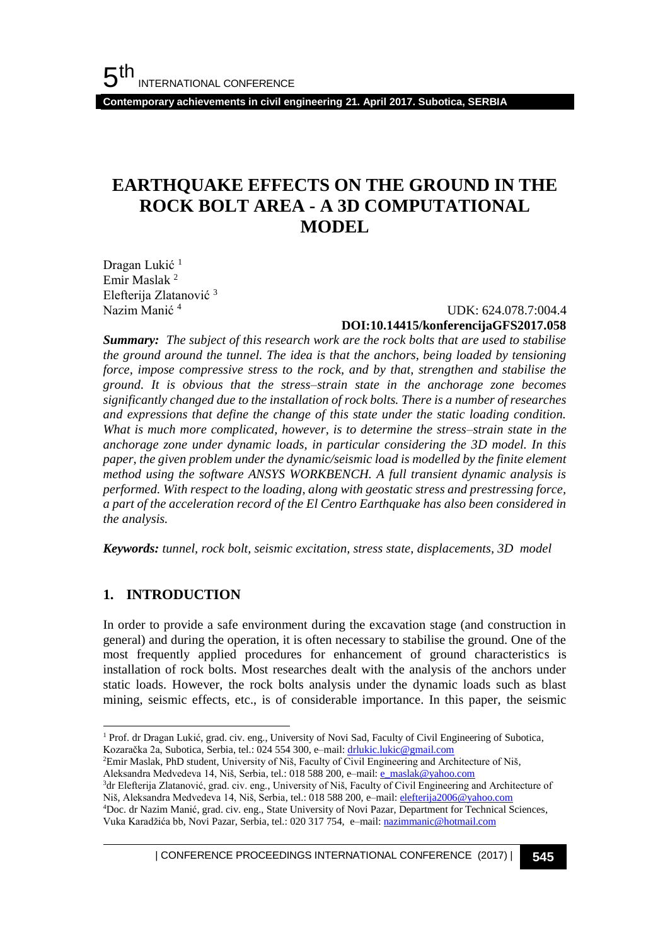**Contemporary achievements in civil engineering 21. April 2017. Subotica, SERBIA**

# **EARTHQUAKE EFFECTS ON THE GROUND IN THE ROCK BOLT AREA - A 3D COMPUTATIONAL MODEL**

Dragan Lukić<sup>1</sup> Emir Maslak <sup>2</sup> Elefterija Zlatanović <sup>3</sup> Nazim Manić <sup>4</sup>

### UDK: 624.078.7:004.4 **DOI:10.14415/konferencijaGFS2017.058**

*Summary: The subject of this research work are the rock bolts that are used to stabilise the ground around the tunnel. The idea is that the anchors, being loaded by tensioning force, impose compressive stress to the rock, and by that, strengthen and stabilise the ground. It is obvious that the stress–strain state in the anchorage zone becomes significantly changed due to the installation of rock bolts. There is a number of researches and expressions that define the change of this state under the static loading condition. What is much more complicated, however, is to determine the stress–strain state in the anchorage zone under dynamic loads, in particular considering the 3D model. In this paper, the given problem under the dynamic/seismic load is modelled by the finite element method using the software ANSYS WORKBENCH. A full transient dynamic analysis is performed. With respect to the loading, along with geostatic stress and prestressing force, a part of the acceleration record of the El Centro Earthquake has also been considered in the analysis.* 

*Keywords: tunnel, rock bolt, seismic excitation, stress state, displacements, 3D model*

## **1. INTRODUCTION**

l

In order to provide a safe environment during the excavation stage (and construction in general) and during the operation, it is often necessary to stabilise the ground. One of the most frequently applied procedures for enhancement of ground characteristics is installation of rock bolts. Most researches dealt with the analysis of the anchors under static loads. However, the rock bolts analysis under the dynamic loads such as blast mining, seismic effects, etc., is of considerable importance. In this paper, the seismic

- <sup>2</sup>Emir Maslak, PhD student, University of Niš, Faculty of Civil Engineering and Architecture of Niš,
- Aleksandra Medvedeva 14, Niš, Serbia, tel.: 018 588 200, e-mail[: e\\_maslak@yahoo.com](mailto:e_maslak@yahoo.com) <sup>3</sup>dr Elefterija Zlatanović, grad. civ. eng., University of Niš, Faculty of Civil Engineering and Architecture of
- Niš, Aleksandra Medvedeva 14, Niš, Serbia, tel.: 018 588 200, e-mail: [elefterija2006@yahoo.com](mailto:elefterija2006@yahoo.com) <sup>4</sup>Doc. dr Nazim Manić, grad. civ. eng., State University of Novi Pazar, Department for Technical Sciences,
- Vuka Karadžića bb, Novi Pazar, Serbia, tel.: 020 317 754, e–mail: [nazimmanic@hotmail.com](mailto:nazimmanic@hotmail.com)

| CONFERENCE PROCEEDINGS INTERNATIONAL CONFERENCE (2017) <sup>|</sup>**545**

<sup>1</sup> Prof. dr Dragan Lukić, grad. civ. eng., University of Novi Sad, Faculty of Civil Engineering of Subotica, Kozaračka 2а, Subotica, Serbia, tel.: 024 554 300, e–mail: [drlukic.lukic@gmail.com](mailto:drlukic.lukic@gmail.com)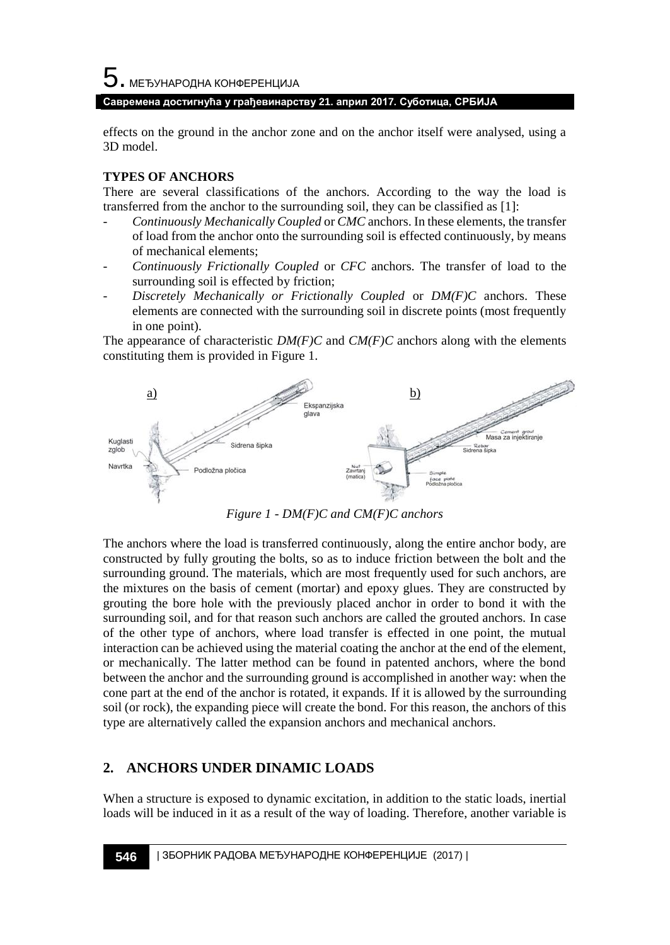5. МЕЂУНАРОДНА КОНФЕРЕНЦИЈА

### **Савремена достигнућа у грађевинарству 21. април 2017. Суботица, СРБИЈА**

effects on the ground in the anchor zone and on the anchor itself were analysed, using a 3D model.

### **TYPES OF ANCHORS**

There are several classifications of the anchors. According to the way the load is transferred from the anchor to the surrounding soil, they can be classified as [1]:

- *Continuously Mechanically Coupled* or *CMC* anchors. In these elements, the transfer of load from the anchor onto the surrounding soil is effected continuously, by means of mechanical elements;
- *Continuously Frictionally Coupled* or *CFC* anchors. The transfer of load to the surrounding soil is effected by friction;
- *Discretely Mechanically or Frictionally Coupled* or *DM(F)C* anchors. These elements are connected with the surrounding soil in discrete points (most frequently in one point).

The appearance of characteristic  $DM(F)C$  and  $CM(F)C$  anchors along with the elements constituting them is provided in Figure 1.



*Figure 1 - DM(F)C and CM(F)C anchors* 

The anchors where the load is transferred continuously, along the entire anchor body, are constructed by fully grouting the bolts, so as to induce friction between the bolt and the surrounding ground. The materials, which are most frequently used for such anchors, are the mixtures on the basis of cement (mortar) and epoxy glues. They are constructed by grouting the bore hole with the previously placed anchor in order to bond it with the surrounding soil, and for that reason such anchors are called the grouted anchors. In case of the other type of anchors, where load transfer is effected in one point, the mutual interaction can be achieved using the material coating the anchor at the end of the element, or mechanically. The latter method can be found in patented anchors, where the bond between the anchor and the surrounding ground is accomplished in another way: when the cone part at the end of the anchor is rotated, it expands. If it is allowed by the surrounding soil (or rock), the expanding piece will create the bond. For this reason, the anchors of this type are alternatively called the expansion anchors and mechanical anchors.

## **2. ANCHORS UNDER DINAMIC LOADS**

When a structure is exposed to dynamic excitation, in addition to the static loads, inertial loads will be induced in it as a result of the way of loading. Therefore, another variable is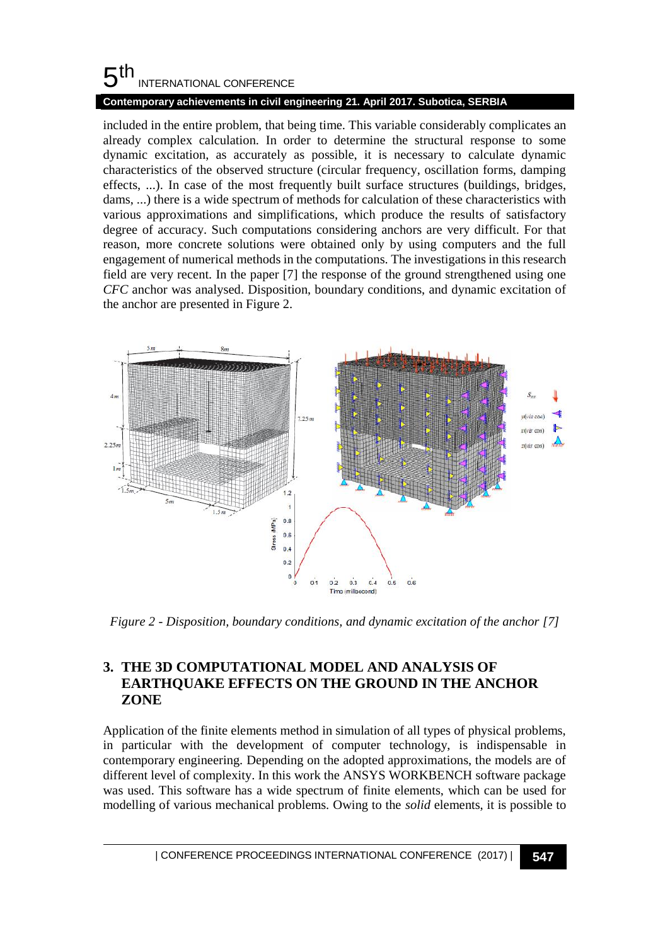#### 5 th INTERNATIONAL CONFERENCE

## **Contemporary achievements in civil engineering 21. April 2017. Subotica, SERBIA**

included in the entire problem, that being time. This variable considerably complicates an already complex calculation. In order to determine the structural response to some dynamic excitation, as accurately as possible, it is necessary to calculate dynamic characteristics of the observed structure (circular frequency, oscillation forms, damping effects, ...). In case of the most frequently built surface structures (buildings, bridges, dams, ...) there is a wide spectrum of methods for calculation of these characteristics with various approximations and simplifications, which produce the results of satisfactory degree of accuracy. Such computations considering anchors are very difficult. For that reason, more concrete solutions were obtained only by using computers and the full engagement of numerical methods in the computations. The investigations in this research field are very recent. In the paper [7] the response of the ground strengthened using one *CFC* anchor was analysed. Disposition, boundary conditions, and dynamic excitation of the anchor are presented in Figure 2.



*Figure 2 - Disposition, boundary conditions, and dynamic excitation of the anchor [7]*

## **3. THE 3D COMPUTATIONAL MODEL AND ANALYSIS OF EARTHQUAKE EFFECTS ON THE GROUND IN THE ANCHOR ZONE**

Application of the finite elements method in simulation of all types of physical problems, in particular with the development of computer technology, is indispensable in contemporary engineering. Depending on the adopted approximations, the models are of different level of complexity. In this work the ANSYS WORKBENCH software package was used. This software has a wide spectrum of finite elements, which can be used for modelling of various mechanical problems. Owing to the *solid* elements, it is possible to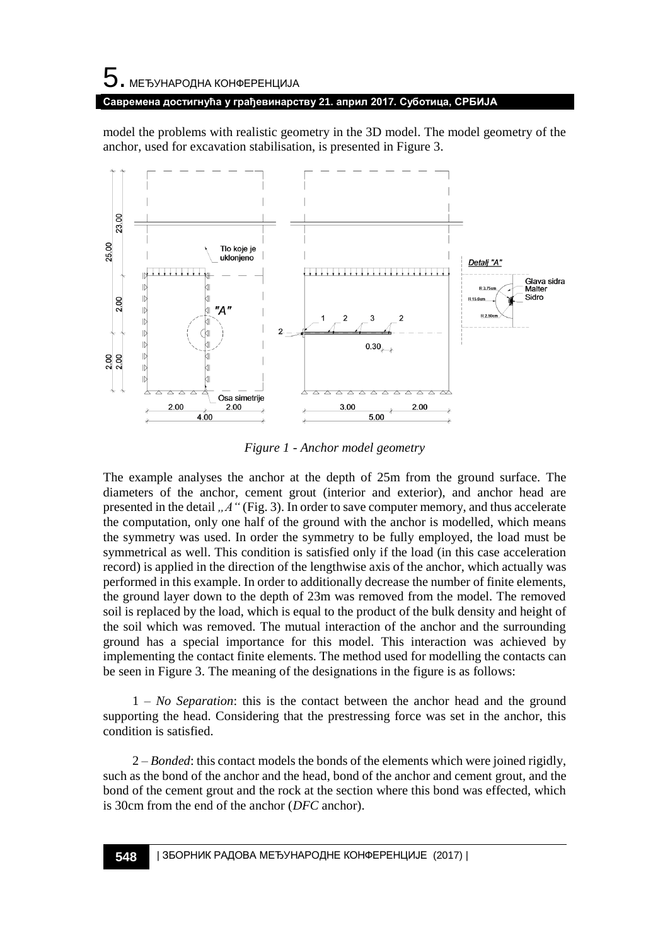# $5$ . међународна конференција **Савремена достигнућа у грађевинарству 21. април 2017. Суботица, СРБИЈА**

model the problems with realistic geometry in the 3D model. The model geometry of the anchor, used for excavation stabilisation, is presented in Figure 3.



*Figure 1 - Anchor model geometry* 

The example analyses the anchor at the depth of 25m from the ground surface. The diameters of the anchor, cement grout (interior and exterior), and anchor head are presented in the detail ,  $A''$  (Fig. 3). In order to save computer memory, and thus accelerate the computation, only one half of the ground with the anchor is modelled, which means the symmetry was used. In order the symmetry to be fully employed, the load must be symmetrical as well. This condition is satisfied only if the load (in this case acceleration record) is applied in the direction of the lengthwise axis of the anchor, which actually was performed in this example. In order to additionally decrease the number of finite elements, the ground layer down to the depth of 23m was removed from the model. The removed soil is replaced by the load, which is equal to the product of the bulk density and height of the soil which was removed. The mutual interaction of the anchor and the surrounding ground has a special importance for this model. This interaction was achieved by implementing the contact finite elements. The method used for modelling the contacts can be seen in Figure 3. The meaning of the designations in the figure is as follows:

1 – *No Separation*: this is the contact between the anchor head and the ground supporting the head. Considering that the prestressing force was set in the anchor, this condition is satisfied.

2 – *Bonded*: this contact models the bonds of the elements which were joined rigidly, such as the bond of the anchor and the head, bond of the anchor and cement grout, and the bond of the cement grout and the rock at the section where this bond was effected, which is 30cm from the end of the anchor (*DFC* anchor).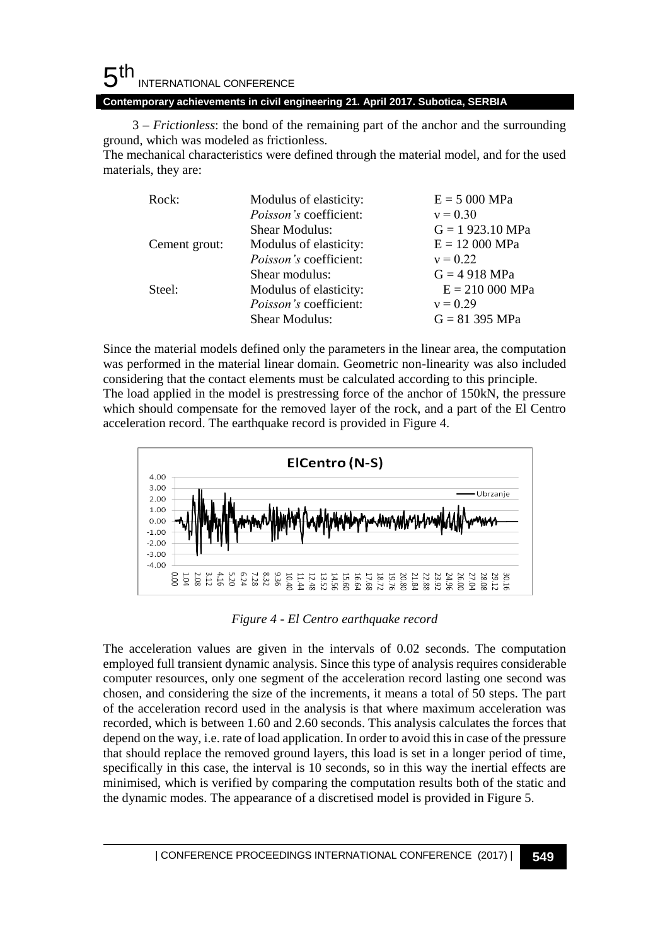#### 5 th INTERNATIONAL CONFERENCE **Contemporary achievements in civil engineering 21. April 2017. Subotica, SERBIA**

3 – *Frictionless*: the bond of the remaining part of the anchor and the surrounding ground, which was modeled as frictionless.

The mechanical characteristics were defined through the material model, and for the used materials, they are:

| Rock:         | Modulus of elasticity:        | $E = 5000 MPa$      |
|---------------|-------------------------------|---------------------|
|               | <i>Poisson's</i> coefficient: | $v = 0.30$          |
|               | <b>Shear Modulus:</b>         | $G = 1923.10 MPa$   |
| Cement grout: | Modulus of elasticity:        | $E = 12000 MPa$     |
|               | <i>Poisson's</i> coefficient: | $v = 0.22$          |
|               | Shear modulus:                | $G = 4918$ MPa      |
| Steel:        | Modulus of elasticity:        | $E = 210\,000\,MPa$ |
|               | <i>Poisson's</i> coefficient: | $v = 0.29$          |
|               | <b>Shear Modulus:</b>         | $G = 81395 MPa$     |

Since the material models defined only the parameters in the linear area, the computation was performed in the material linear domain. Geometric non-linearity was also included considering that the contact elements must be calculated according to this principle. The load applied in the model is prestressing force of the anchor of 150kN, the pressure which should compensate for the removed layer of the rock, and a part of the El Centro acceleration record. The earthquake record is provided in Figure 4.



*Figure 4 - El Centro earthquake record*

The acceleration values are given in the intervals of 0.02 seconds. The computation employed full transient dynamic analysis. Since this type of analysis requires considerable computer resources, only one segment of the acceleration record lasting one second was chosen, and considering the size of the increments, it means a total of 50 steps. The part of the acceleration record used in the analysis is that where maximum acceleration was recorded, which is between 1.60 and 2.60 seconds. This analysis calculates the forces that depend on the way, i.e. rate of load application. In order to avoid this in case of the pressure that should replace the removed ground layers, this load is set in a longer period of time, specifically in this case, the interval is 10 seconds, so in this way the inertial effects are minimised, which is verified by comparing the computation results both of the static and the dynamic modes. The appearance of a discretised model is provided in Figure 5.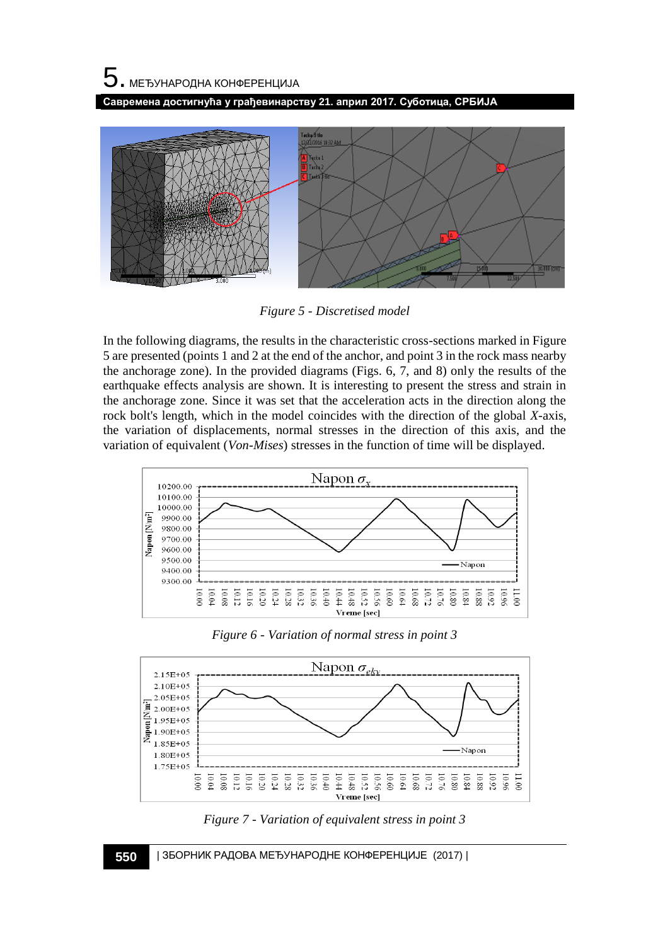5. МЕЂУНАРОДНА КОНФЕРЕНЦИЈА

**Савремена достигнућа у грађевинарству 21. април 2017. Суботица, СРБИЈА**



*Figure 5 - Discretised model*

In the following diagrams, the results in the characteristic cross-sections marked in Figure 5 are presented (points 1 and 2 at the end of the anchor, and point 3 in the rock mass nearby the anchorage zone). In the provided diagrams (Figs. 6, 7, and 8) only the results of the earthquake effects analysis are shown. It is interesting to present the stress and strain in the anchorage zone. Since it was set that the acceleration acts in the direction along the rock bolt's length, which in the model coincides with the direction of the global *X-*axis, the variation of displacements, normal stresses in the direction of this axis, and the variation of equivalent (*Von-Mises*) stresses in the function of time will be displayed.



*Figure 6 - Variation of normal stress in point 3* 



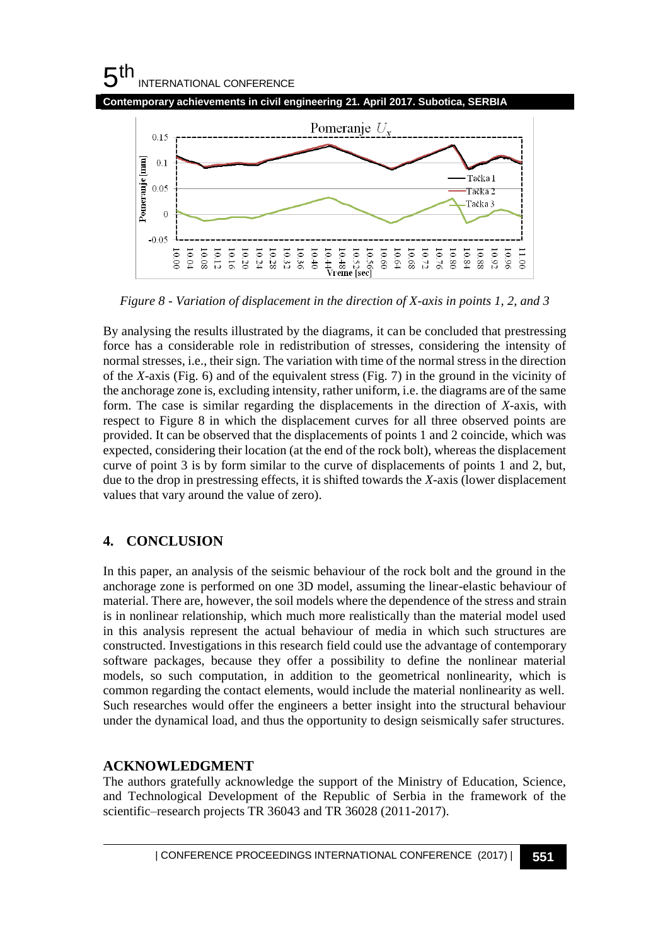# $5<sup>th</sup>$ INTERNATIONAL CONFERENCE



*Figure 8 - Variation of displacement in the direction of X-axis in points 1, 2, and 3*

By analysing the results illustrated by the diagrams, it can be concluded that prestressing force has a considerable role in redistribution of stresses, considering the intensity of normal stresses, i.e., their sign. The variation with time of the normal stress in the direction of the *X-*axis (Fig. 6) and of the equivalent stress (Fig. 7) in the ground in the vicinity of the anchorage zone is, excluding intensity, rather uniform, i.e. the diagrams are of the same form. The case is similar regarding the displacements in the direction of *X*-axis, with respect to Figure 8 in which the displacement curves for all three observed points are provided. It can be observed that the displacements of points 1 and 2 coincide, which was expected, considering their location (at the end of the rock bolt), whereas the displacement curve of point 3 is by form similar to the curve of displacements of points 1 and 2, but, due to the drop in prestressing effects, it is shifted towards the *X*-axis (lower displacement values that vary around the value of zero).

## **4. CONCLUSION**

In this paper, an analysis of the seismic behaviour of the rock bolt and the ground in the anchorage zone is performed on one 3D model, assuming the linear-elastic behaviour of material. There are, however, the soil models where the dependence of the stress and strain is in nonlinear relationship, which much more realistically than the material model used in this analysis represent the actual behaviour of media in which such structures are constructed. Investigations in this research field could use the advantage of contemporary software packages, because they offer a possibility to define the nonlinear material models, so such computation, in addition to the geometrical nonlinearity, which is common regarding the contact elements, would include the material nonlinearity as well. Such researches would offer the engineers a better insight into the structural behaviour under the dynamical load, and thus the opportunity to design seismically safer structures.

## **ACKNOWLEDGMENT**

The authors gratefully acknowledge the support of the Ministry of Education, Science, and Technological Development of the Republic of Serbia in the framework of the scientific–research projects TR 36043 and TR 36028 (2011-2017).